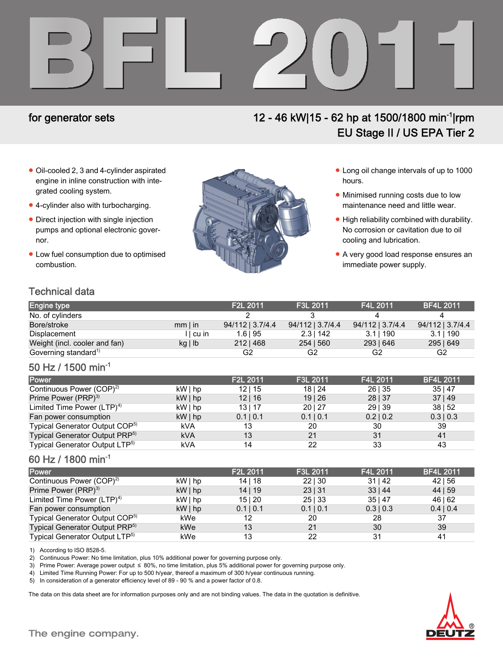

# for generator sets 12 - 46 kW|15 - 62 hp at 1500/1800 min-1|rpm EU Stage II / US EPA Tier 2

- Oil-cooled 2, 3 and 4-cylinder aspirated engine in inline construction with integrated cooling system.
- 4-cylinder also with turbocharging.
- Direct injection with single injection pumps and optional electronic governor.
- Low fuel consumption due to optimised combustion.



- Long oil change intervals of up to 1000 hours.
- Minimised running costs due to low maintenance need and little wear.
- High reliability combined with durability. No corrosion or cavitation due to oil cooling and lubrication.
- A very good load response ensures an immediate power supply.

# Technical data

| <b>Engine type</b>               |              | F <sub>2</sub> L 2011 | F3L 2011         | F4L 2011         | <b>BF4L 2011</b> |
|----------------------------------|--------------|-----------------------|------------------|------------------|------------------|
| No. of cylinders                 |              |                       |                  |                  |                  |
| Bore/stroke                      | $mm$   in    | 94/112   3.7/4.4      | 94/112   3.7/4.4 | 94/112   3.7/4.4 | 94/112   3.7/4.4 |
| Displacement                     | II cu in     | 1.6195                | $2.3$   142      | 3.11190          | 3.11190          |
| Weight (incl. cooler and fan)    | $kg \mid lb$ | $212 \mid 468$        | 254   560        | 293   646        | 295   649        |
| Governing standard <sup>1)</sup> |              | G2                    | G2               | G2               | G2               |

### 50 Hz / 1500 min-1

| Power                                      |            | F <sub>2</sub> L 2011 | F3L 2011  | F4L 2011  | <b>BF4L 2011</b> |
|--------------------------------------------|------------|-----------------------|-----------|-----------|------------------|
| Continuous Power (COP) <sup>2)</sup>       | $kW $ hp   | 12 15                 | 18124     | 26   35   | 35 47            |
| Prime Power (PRP) <sup>3)</sup>            | $kW $ hp   | 12 16                 | 19 26     | 28   37   | 37 49            |
| Limited Time Power $(LTP)^{4}$             | $kW $ hp   | 13 17                 | 20 27     | 29   39   | 38   52          |
| Fan power consumption                      | $kW $ hp   | 0.1   0.1             | 0.1   0.1 | 0.2   0.2 | $0.3 \mid 0.3$   |
| Typical Generator Output COP <sup>5)</sup> | kVA        | 13                    | 20        | 30        | 39               |
| Typical Generator Output PRP <sup>5)</sup> | <b>kVA</b> | 13                    | 21        | 31        | 41               |
| Typical Generator Output LTP <sup>5)</sup> | kVA        | 14                    | 22        | 33        | 43               |

### 60 Hz / 1800 min-1

| <b>Power</b>                               |          | F2L 2011  | F3L 2011  | F4L 2011     | <b>BF4L 2011</b> |
|--------------------------------------------|----------|-----------|-----------|--------------|------------------|
| Continuous Power (COP) <sup>2)</sup>       | $kW $ hp | 14   18   | 22130     | $31 \mid 42$ | $42 \mid 56$     |
| Prime Power (PRP) <sup>3)</sup>            | $kW $ hp | 14 19     | 23   31   | 33 44        | 44   59          |
| Limited Time Power $(LTP)^{4}$             | $kW $ hp | 15 20     | 25 33     | 35 47        | 46   62          |
| Fan power consumption                      | $kW $ hp | 0.1   0.1 | 0.1   0.1 | 0.3   0.3    | 0.4   0.4        |
| Typical Generator Output COP <sup>5)</sup> | kWe      | 12        | 20        | 28           | 37               |
| Typical Generator Output PRP <sup>5)</sup> | kWe      | 13        | 21        | 30           | 39               |
| Typical Generator Output LTP <sup>5)</sup> | kWe      | 13        | 22        | 31           | 41               |

1) According to ISO 8528-5.

2) Continuous Power: No time limitation, plus 10% additional power for governing purpose only.

3) Prime Power: Average power output ≤ 80%, no time limitation, plus 5% additional power for governing purpose only.

4) Limited Time Running Power: For up to 500 h/year, thereof a maximum of 300 h/year continuous running.

5) In consideration of a generator efficiency level of 89 - 90 % and a power factor of 0.8.

The data on this data sheet are for information purposes only and are not binding values. The data in the quotation is definitive.